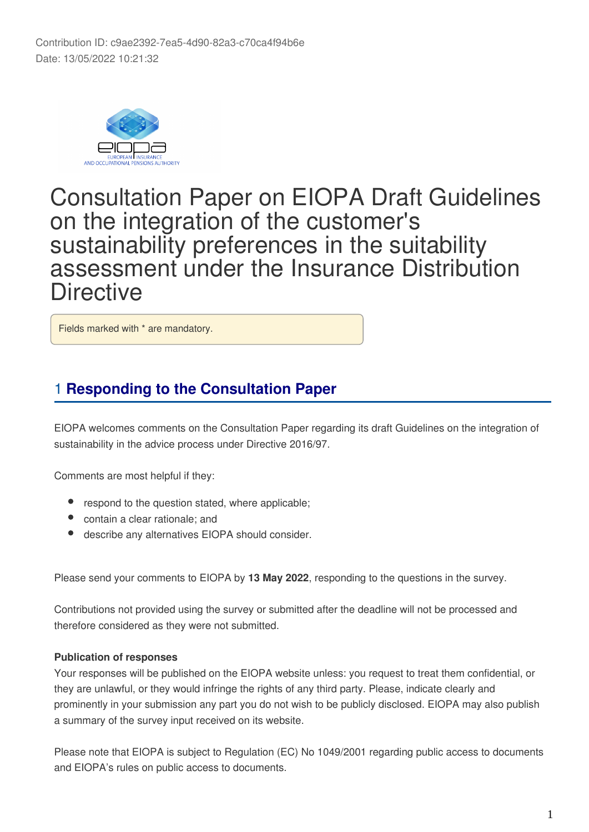

# Consultation Paper on EIOPA Draft Guidelines on the integration of the customer's sustainability preferences in the suitability assessment under the Insurance Distribution **Directive**

Fields marked with \* are mandatory.

# 1 **Responding to the Consultation Paper**

EIOPA welcomes comments on the Consultation Paper regarding its draft Guidelines on the integration of sustainability in the advice process under Directive 2016/97.

Comments are most helpful if they:

- respond to the question stated, where applicable;
- contain a clear rationale; and
- describe any alternatives EIOPA should consider.

Please send your comments to EIOPA by **13 May 2022**, responding to the questions in the survey.

Contributions not provided using the survey or submitted after the deadline will not be processed and therefore considered as they were not submitted.

#### **Publication of responses**

Your responses will be published on the EIOPA website unless: you request to treat them confidential, or they are unlawful, or they would infringe the rights of any third party. Please, indicate clearly and prominently in your submission any part you do not wish to be publicly disclosed. EIOPA may also publish a summary of the survey input received on its website.

Please note that EIOPA is subject to Regulation (EC) No 1049/2001 regarding public access to documents and EIOPA's rules on public access to documents.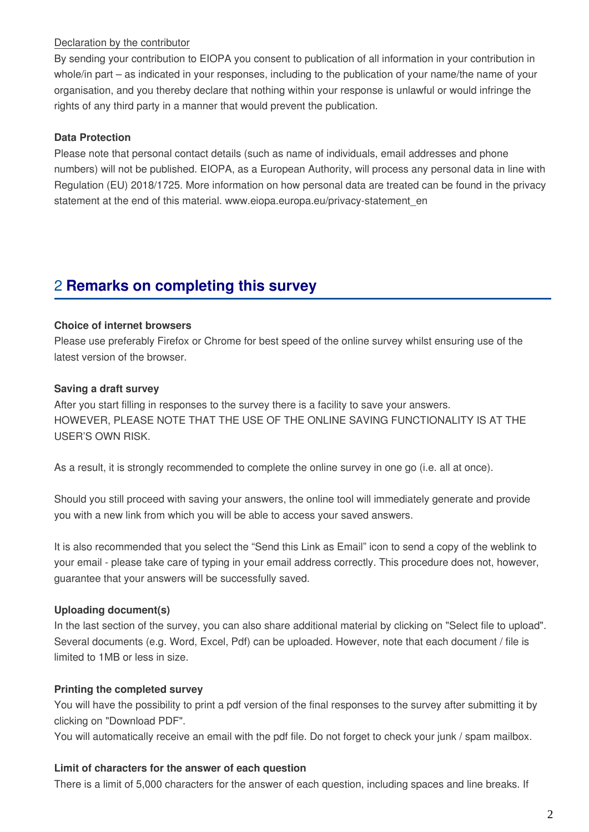#### Declaration by the contributor

By sending your contribution to EIOPA you consent to publication of all information in your contribution in whole/in part – as indicated in your responses, including to the publication of your name/the name of your organisation, and you thereby declare that nothing within your response is unlawful or would infringe the rights of any third party in a manner that would prevent the publication.

#### **Data Protection**

Please note that personal contact details (such as name of individuals, email addresses and phone numbers) will not be published. EIOPA, as a European Authority, will process any personal data in line with Regulation (EU) 2018/1725. More information on how personal data are treated can be found in the privacy statement at the end of this material. www.eiopa.europa.eu/privacy-statement\_en

# 2 **Remarks on completing this survey**

#### **Choice of internet browsers**

Please use preferably Firefox or Chrome for best speed of the online survey whilst ensuring use of the latest version of the browser.

#### **Saving a draft survey**

After you start filling in responses to the survey there is a facility to save your answers. HOWEVER, PLEASE NOTE THAT THE USE OF THE ONLINE SAVING FUNCTIONALITY IS AT THE USER'S OWN RISK.

As a result, it is strongly recommended to complete the online survey in one go (i.e. all at once).

Should you still proceed with saving your answers, the online tool will immediately generate and provide you with a new link from which you will be able to access your saved answers.

It is also recommended that you select the "Send this Link as Email" icon to send a copy of the weblink to your email - please take care of typing in your email address correctly. This procedure does not, however, guarantee that your answers will be successfully saved.

#### **Uploading document(s)**

In the last section of the survey, you can also share additional material by clicking on "Select file to upload". Several documents (e.g. Word, Excel, Pdf) can be uploaded. However, note that each document / file is limited to 1MB or less in size.

#### **Printing the completed survey**

You will have the possibility to print a pdf version of the final responses to the survey after submitting it by clicking on "Download PDF".

You will automatically receive an email with the pdf file. Do not forget to check your junk / spam mailbox.

#### **Limit of characters for the answer of each question**

There is a limit of 5,000 characters for the answer of each question, including spaces and line breaks. If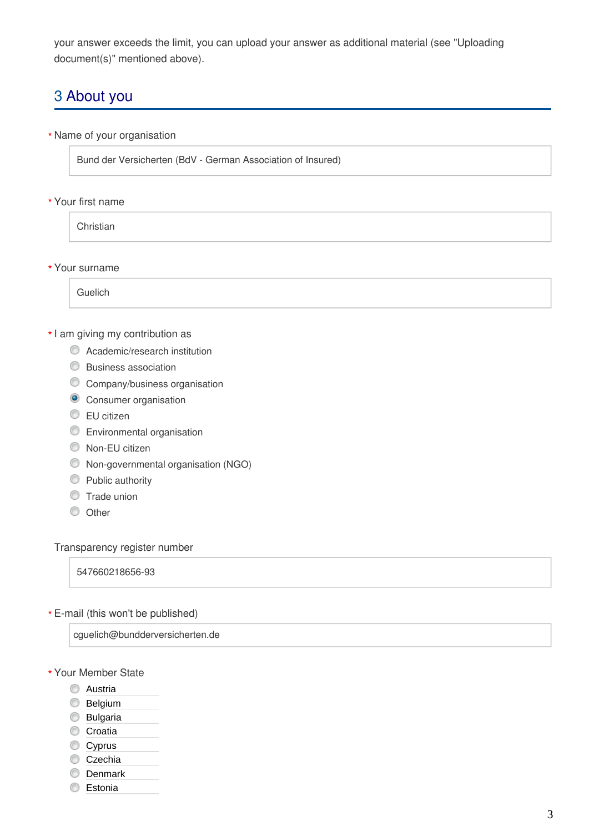your answer exceeds the limit, you can upload your answer as additional material (see "Uploading document(s)" mentioned above).

# 3 About you

Name of your organisation **\***

Bund der Versicherten (BdV - German Association of Insured)

Your first name **\***

**Christian** 

Your surname **\***

Guelich

#### \* I am giving my contribution as

- **C** Academic/research institution
- **Business association**
- **C** Company/business organisation
- **O** Consumer organisation
- **EU** citizen
- Environmental organisation
- Non-EU citizen
- Non-governmental organisation (NGO)
- **Public authority**
- **Trade union**
- $\circledcirc$  Other

#### Transparency register number

547660218656-93

E-mail (this won't be published) **\***

cguelich@bundderversicherten.de

- Your Member State **\***
	- **C** Austria
	- **Belgium**
	- **Bulgaria**
	- Croatia
	- Cyprus
	- Czechia
	- **Denmark**
	- **Estonia**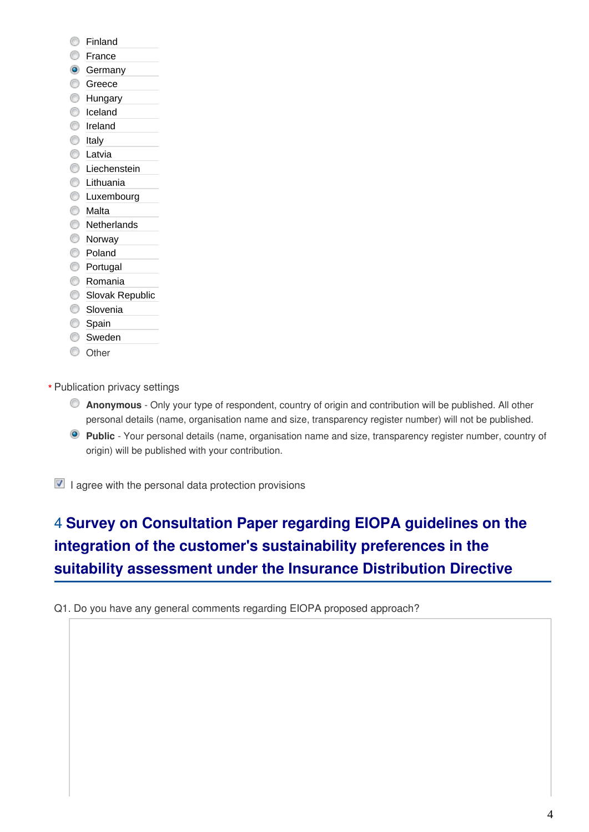- **C** Finland
- **Erance**
- **G** Germany
- **Greece**
- **Hungary**
- C Iceland
- **O** Ireland
- **O** Italy
- **C** Latvia
- **C** Liechenstein
- **C** Lithuania
- **C** Luxembourg
- **Malta**
- **Netherlands**
- **Norway**
- Poland
- **Portugal**
- **C** Romania
- Slovak Republic
- **Slovenia**
- Spain
- Sweden
- C Other
- Publication privacy settings **\***
	- **Anonymous** Only your type of respondent, country of origin and contribution will be published. All other personal details (name, organisation name and size, transparency register number) will not be published.
	- **Public** Your personal details (name, organisation name and size, transparency register number, country of origin) will be published with your contribution.

 $\blacksquare$  I agree with the personal data protection provisions

# 4 **Survey on Consultation Paper regarding EIOPA guidelines on the integration of the customer's sustainability preferences in the suitability assessment under the Insurance Distribution Directive**

Q1. Do you have any general comments regarding EIOPA proposed approach?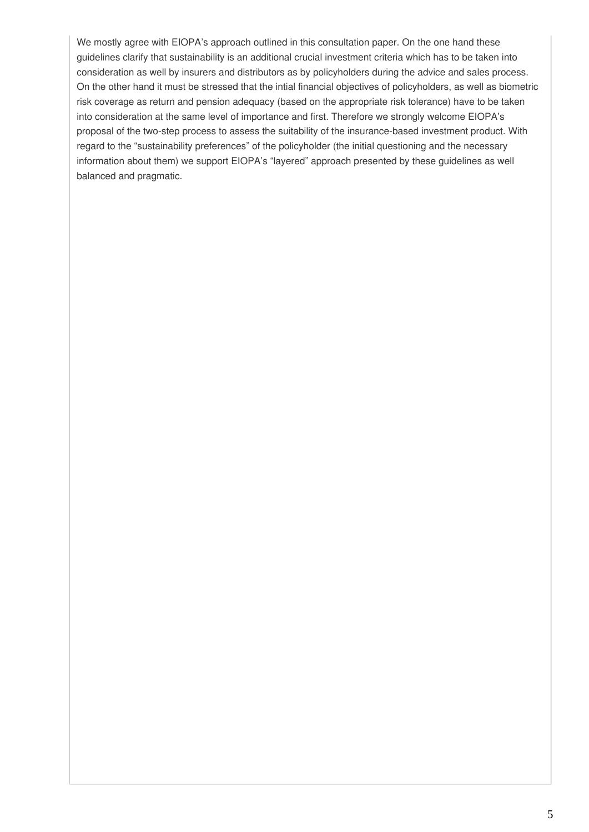We mostly agree with EIOPA's approach outlined in this consultation paper. On the one hand these guidelines clarify that sustainability is an additional crucial investment criteria which has to be taken into consideration as well by insurers and distributors as by policyholders during the advice and sales process. On the other hand it must be stressed that the intial financial objectives of policyholders, as well as biometric risk coverage as return and pension adequacy (based on the appropriate risk tolerance) have to be taken into consideration at the same level of importance and first. Therefore we strongly welcome EIOPA's proposal of the two-step process to assess the suitability of the insurance-based investment product. With regard to the "sustainability preferences" of the policyholder (the initial questioning and the necessary information about them) we support EIOPA's "layered" approach presented by these guidelines as well balanced and pragmatic.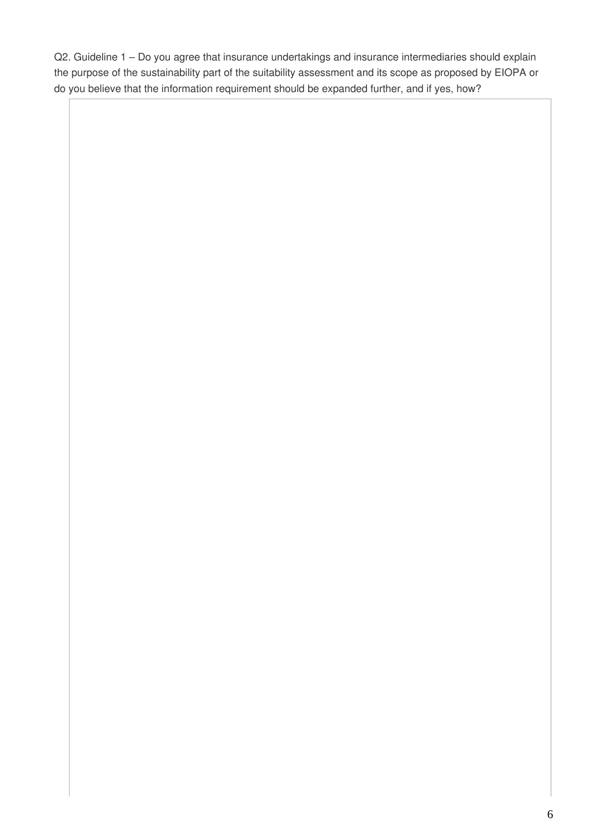Q2. Guideline 1 – Do you agree that insurance undertakings and insurance intermediaries should explain the purpose of the sustainability part of the suitability assessment and its scope as proposed by EIOPA or do you believe that the information requirement should be expanded further, and if yes, how?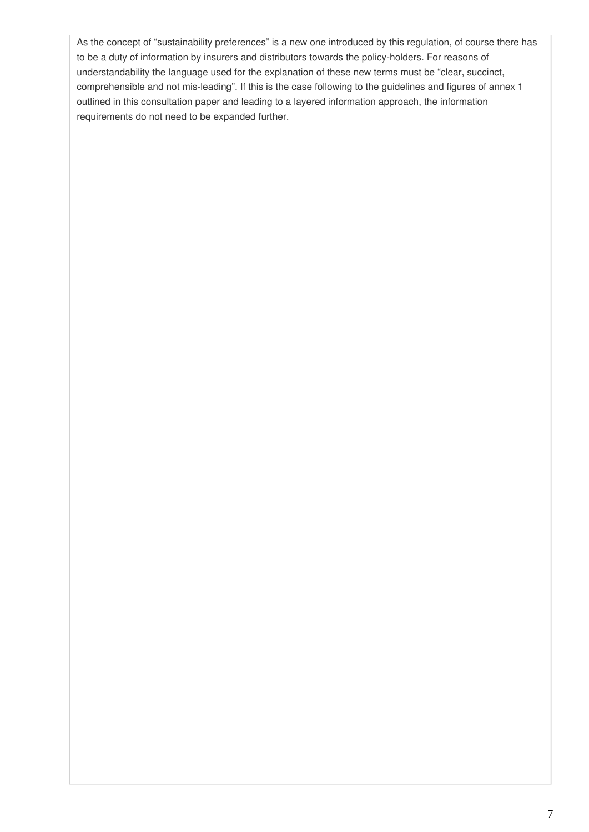As the concept of "sustainability preferences" is a new one introduced by this regulation, of course there has to be a duty of information by insurers and distributors towards the policy-holders. For reasons of understandability the language used for the explanation of these new terms must be "clear, succinct, comprehensible and not mis-leading". If this is the case following to the guidelines and figures of annex 1 outlined in this consultation paper and leading to a layered information approach, the information requirements do not need to be expanded further.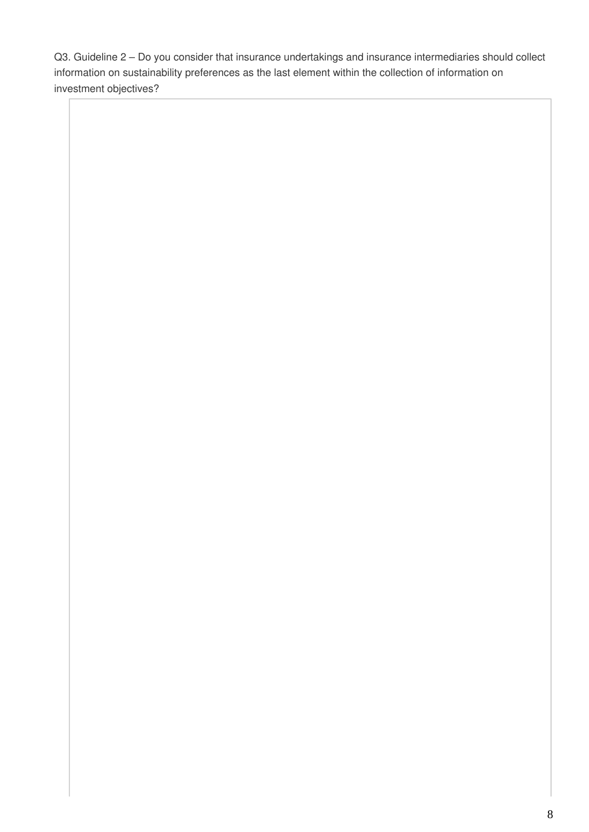Q3. Guideline 2 – Do you consider that insurance undertakings and insurance intermediaries should collect information on sustainability preferences as the last element within the collection of information on investment objectives?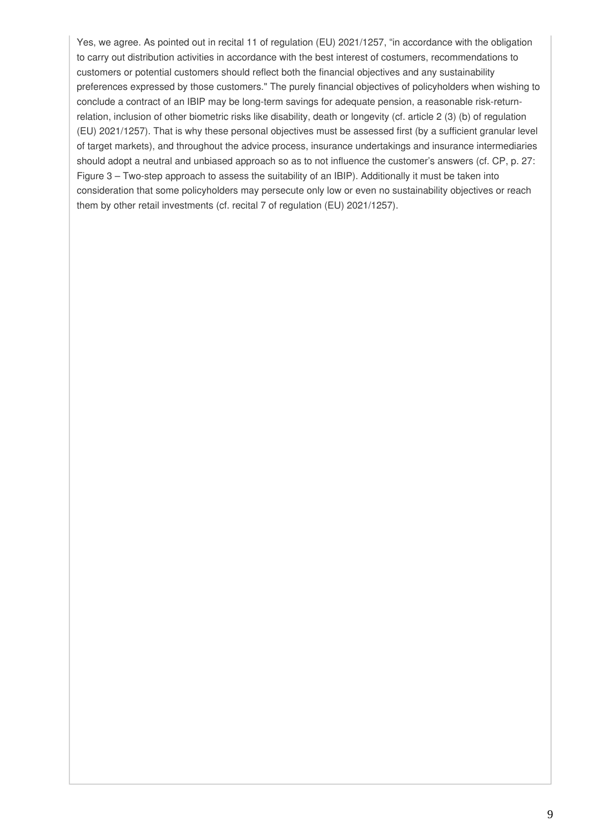Yes, we agree. As pointed out in recital 11 of regulation (EU) 2021/1257, "in accordance with the obligation to carry out distribution activities in accordance with the best interest of costumers, recommendations to customers or potential customers should reflect both the financial objectives and any sustainability preferences expressed by those customers." The purely financial objectives of policyholders when wishing to conclude a contract of an IBIP may be long-term savings for adequate pension, a reasonable risk-returnrelation, inclusion of other biometric risks like disability, death or longevity (cf. article 2 (3) (b) of regulation (EU) 2021/1257). That is why these personal objectives must be assessed first (by a sufficient granular level of target markets), and throughout the advice process, insurance undertakings and insurance intermediaries should adopt a neutral and unbiased approach so as to not influence the customer's answers (cf. CP, p. 27: Figure 3 – Two-step approach to assess the suitability of an IBIP). Additionally it must be taken into consideration that some policyholders may persecute only low or even no sustainability objectives or reach them by other retail investments (cf. recital 7 of regulation (EU) 2021/1257).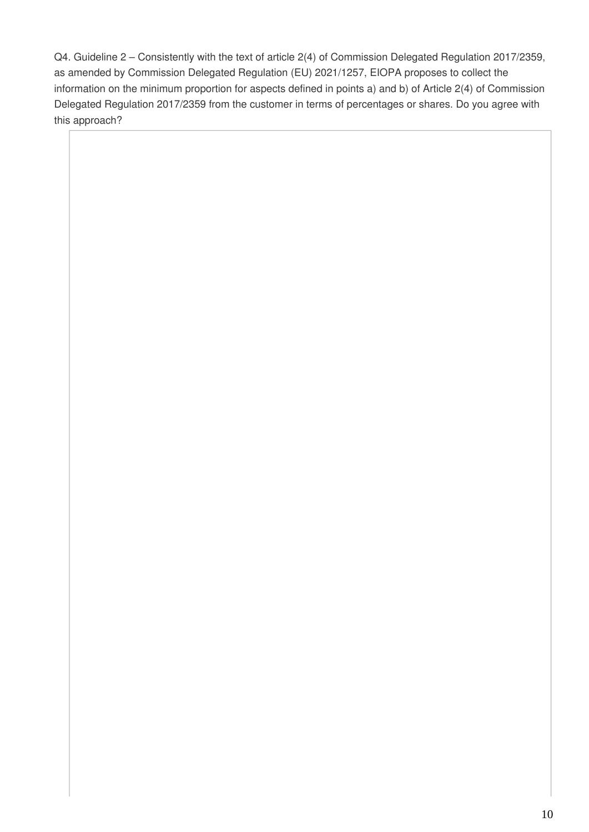Q4. Guideline 2 – Consistently with the text of article 2(4) of Commission Delegated Regulation 2017/2359, as amended by Commission Delegated Regulation (EU) 2021/1257, EIOPA proposes to collect the information on the minimum proportion for aspects defined in points a) and b) of Article 2(4) of Commission Delegated Regulation 2017/2359 from the customer in terms of percentages or shares. Do you agree with this approach?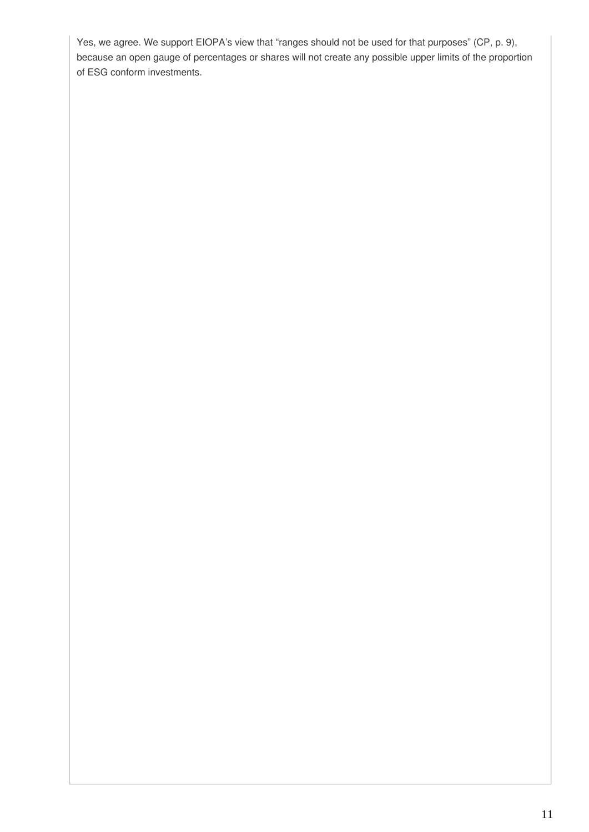Yes, we agree. We support EIOPA's view that "ranges should not be used for that purposes" (CP, p. 9), because an open gauge of percentages or shares will not create any possible upper limits of the proportion of ESG conform investments.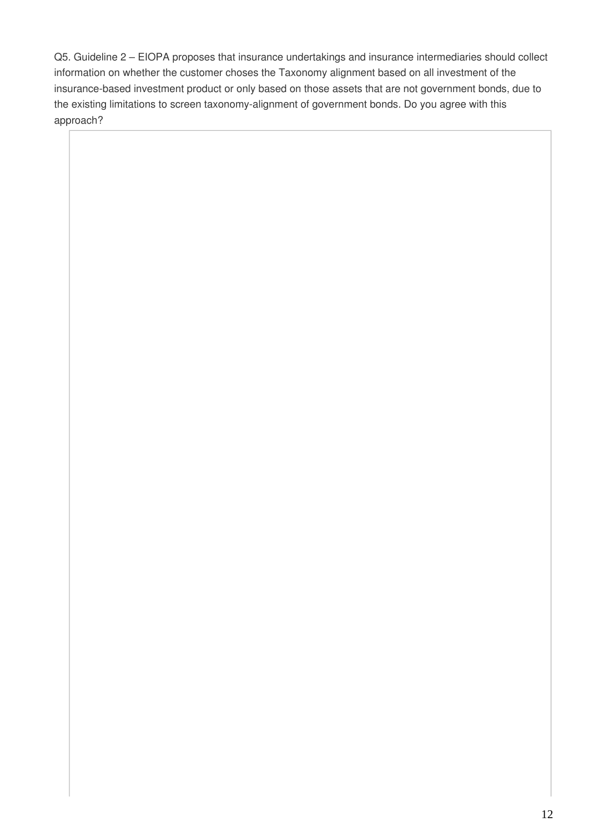Q5. Guideline 2 – EIOPA proposes that insurance undertakings and insurance intermediaries should collect information on whether the customer choses the Taxonomy alignment based on all investment of the insurance-based investment product or only based on those assets that are not government bonds, due to the existing limitations to screen taxonomy-alignment of government bonds. Do you agree with this approach?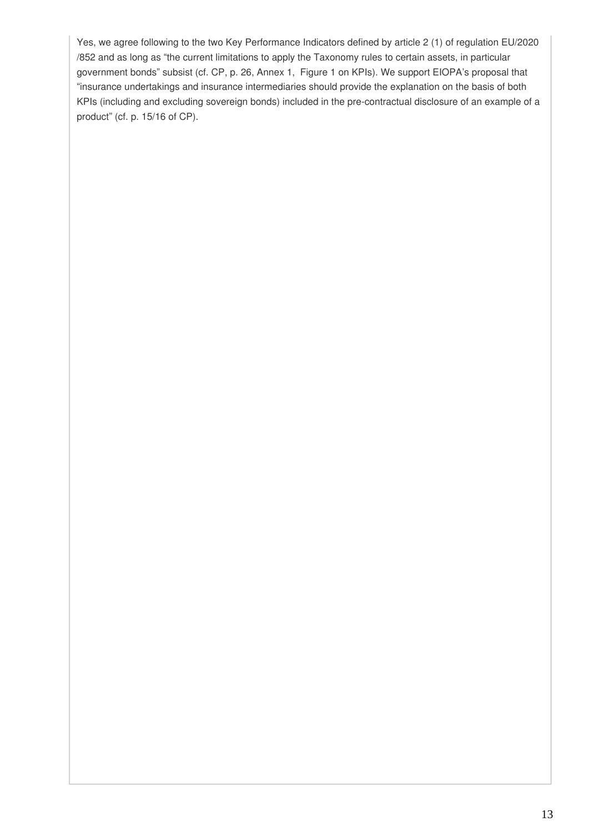Yes, we agree following to the two Key Performance Indicators defined by article 2 (1) of regulation EU/2020 /852 and as long as "the current limitations to apply the Taxonomy rules to certain assets, in particular government bonds" subsist (cf. CP, p. 26, Annex 1, Figure 1 on KPIs). We support EIOPA's proposal that "insurance undertakings and insurance intermediaries should provide the explanation on the basis of both KPIs (including and excluding sovereign bonds) included in the pre-contractual disclosure of an example of a product" (cf. p. 15/16 of CP).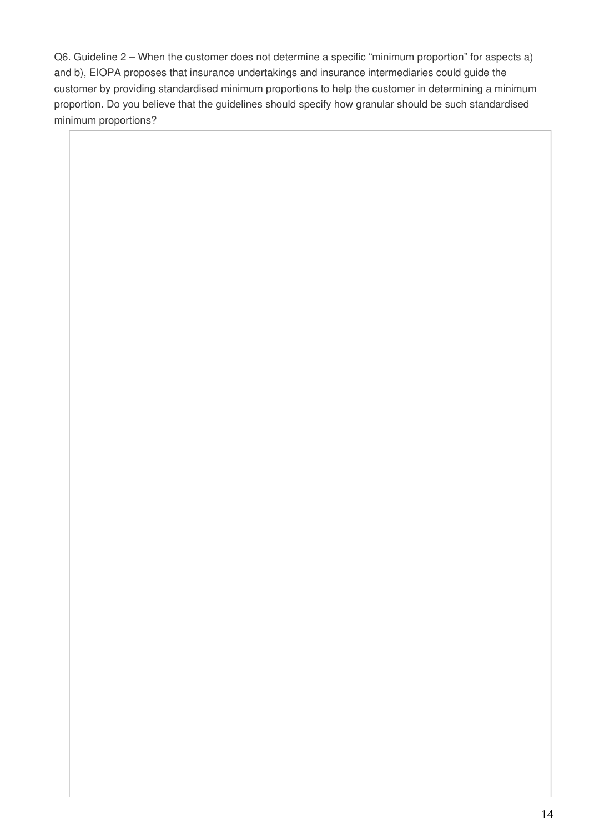Q6. Guideline 2 – When the customer does not determine a specific "minimum proportion" for aspects a) and b), EIOPA proposes that insurance undertakings and insurance intermediaries could guide the customer by providing standardised minimum proportions to help the customer in determining a minimum proportion. Do you believe that the guidelines should specify how granular should be such standardised minimum proportions?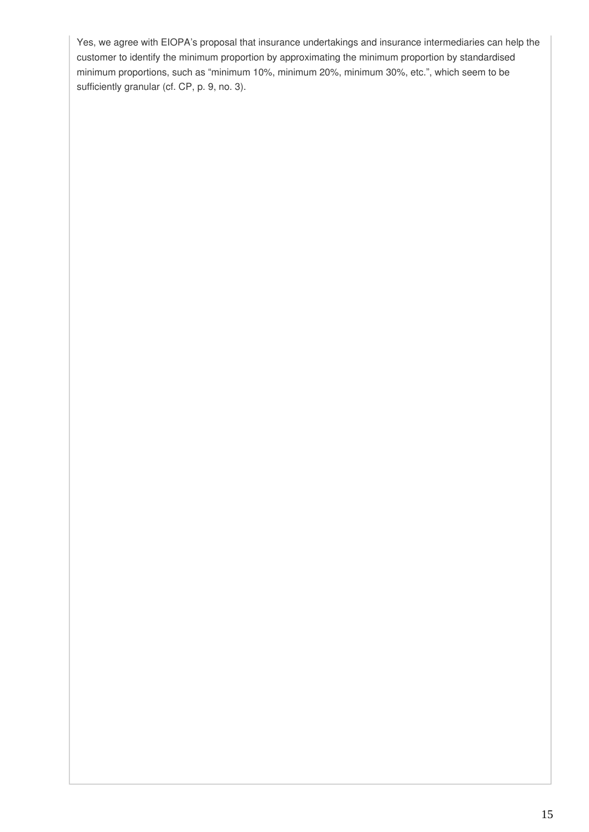Yes, we agree with EIOPA's proposal that insurance undertakings and insurance intermediaries can help the customer to identify the minimum proportion by approximating the minimum proportion by standardised minimum proportions, such as "minimum 10%, minimum 20%, minimum 30%, etc.", which seem to be sufficiently granular (cf. CP, p. 9, no. 3).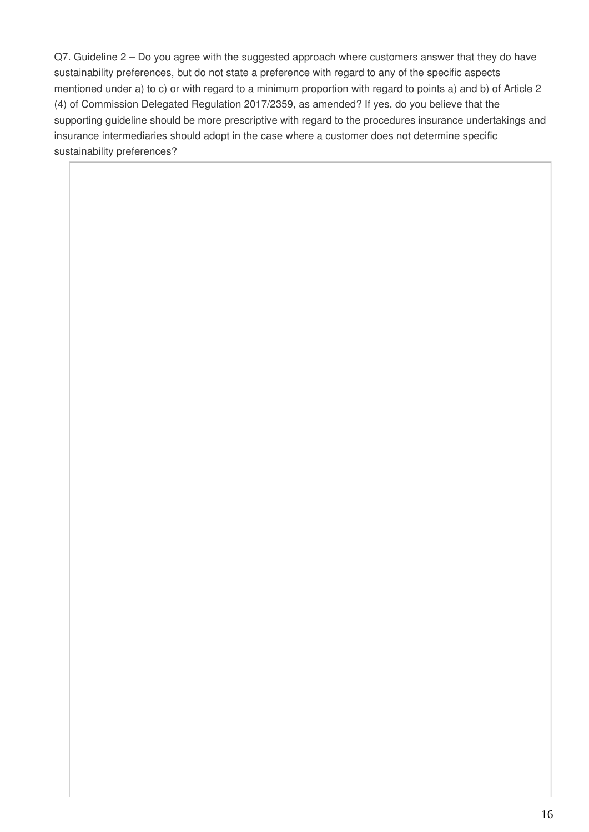Q7. Guideline 2 – Do you agree with the suggested approach where customers answer that they do have sustainability preferences, but do not state a preference with regard to any of the specific aspects mentioned under a) to c) or with regard to a minimum proportion with regard to points a) and b) of Article 2 (4) of Commission Delegated Regulation 2017/2359, as amended? If yes, do you believe that the supporting guideline should be more prescriptive with regard to the procedures insurance undertakings and insurance intermediaries should adopt in the case where a customer does not determine specific sustainability preferences?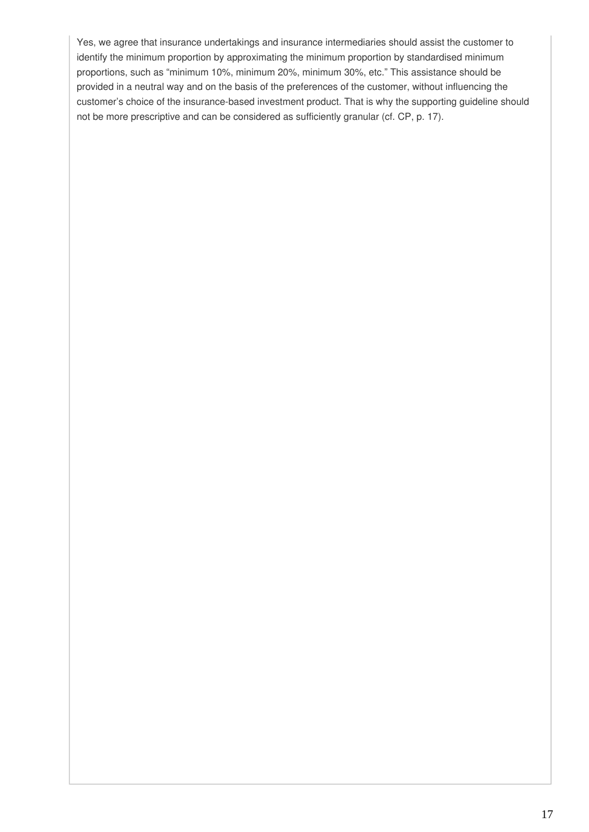Yes, we agree that insurance undertakings and insurance intermediaries should assist the customer to identify the minimum proportion by approximating the minimum proportion by standardised minimum proportions, such as "minimum 10%, minimum 20%, minimum 30%, etc." This assistance should be provided in a neutral way and on the basis of the preferences of the customer, without influencing the customer's choice of the insurance-based investment product. That is why the supporting guideline should not be more prescriptive and can be considered as sufficiently granular (cf. CP, p. 17).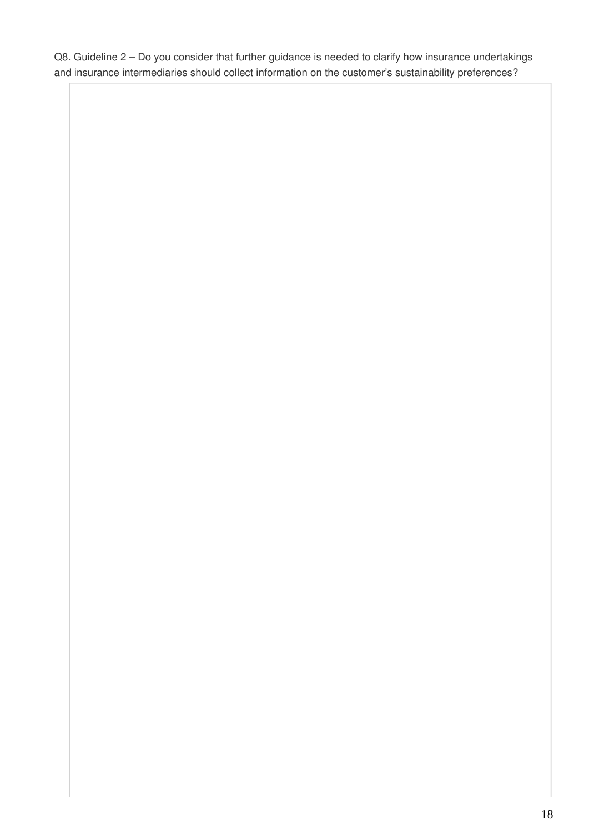Q8. Guideline 2 – Do you consider that further guidance is needed to clarify how insurance undertakings and insurance intermediaries should collect information on the customer's sustainability preferences?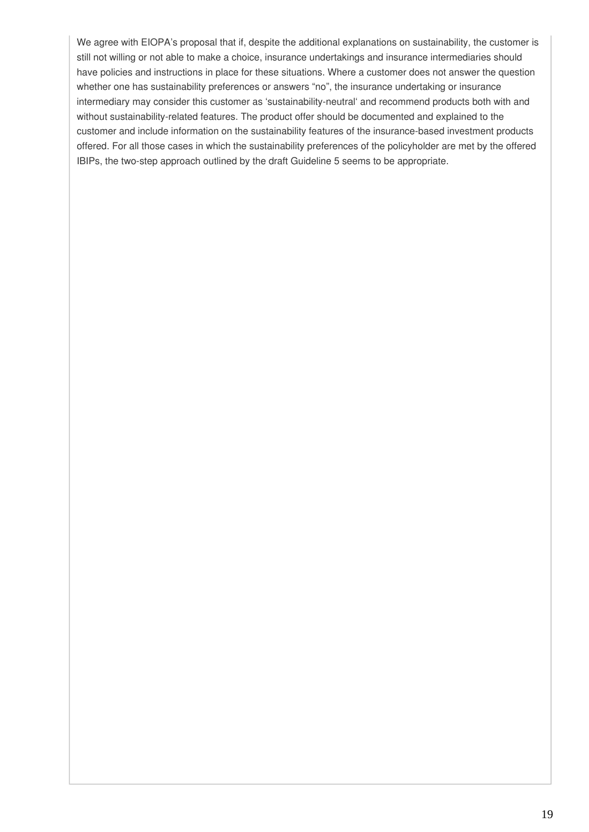We agree with EIOPA's proposal that if, despite the additional explanations on sustainability, the customer is still not willing or not able to make a choice, insurance undertakings and insurance intermediaries should have policies and instructions in place for these situations. Where a customer does not answer the question whether one has sustainability preferences or answers "no", the insurance undertaking or insurance intermediary may consider this customer as 'sustainability-neutral' and recommend products both with and without sustainability-related features. The product offer should be documented and explained to the customer and include information on the sustainability features of the insurance-based investment products offered. For all those cases in which the sustainability preferences of the policyholder are met by the offered IBIPs, the two-step approach outlined by the draft Guideline 5 seems to be appropriate.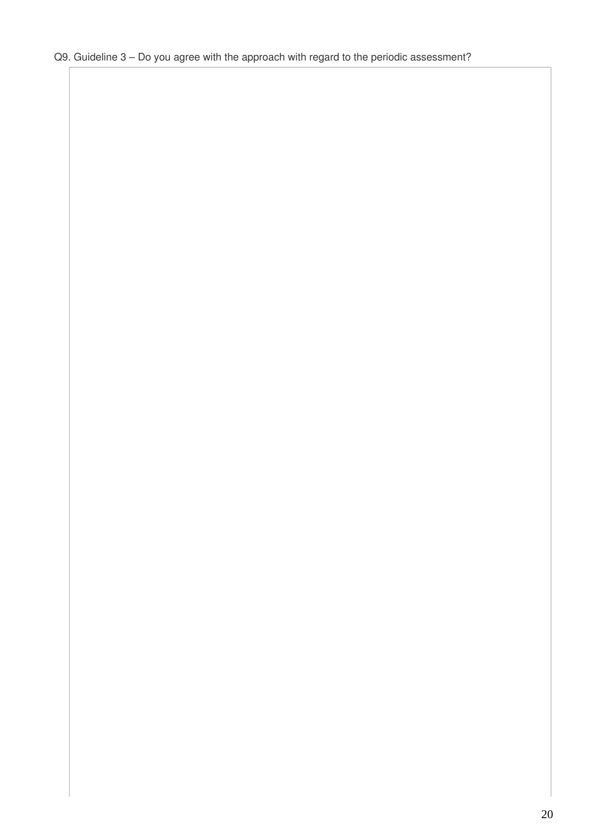## Q9. Guideline 3 – Do you agree with the approach with regard to the periodic assessment?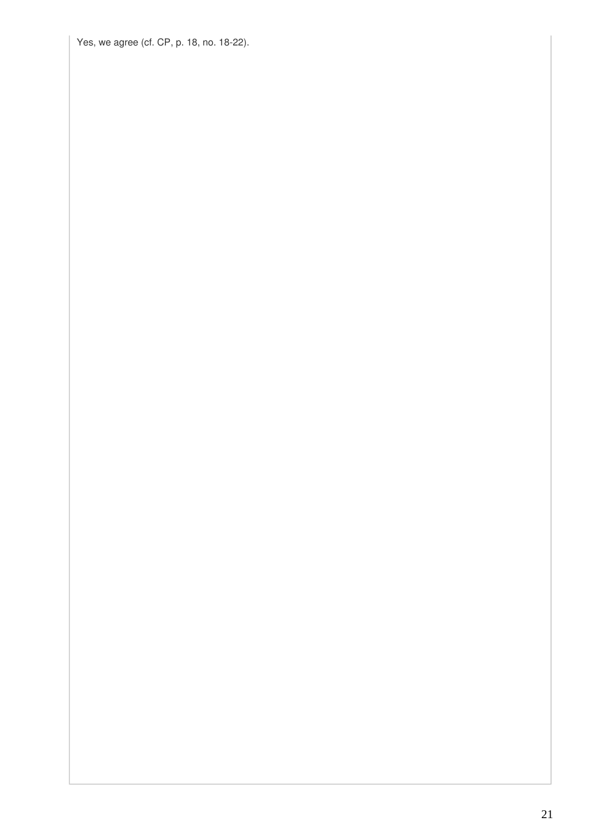Yes, we agree (cf. CP, p. 18, no. 18-22).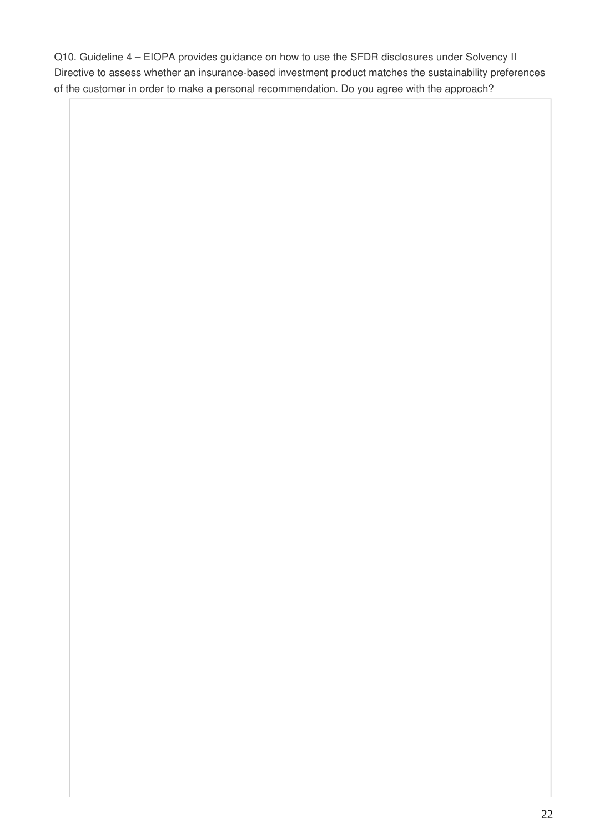Q10. Guideline 4 – EIOPA provides guidance on how to use the SFDR disclosures under Solvency II Directive to assess whether an insurance-based investment product matches the sustainability preferences of the customer in order to make a personal recommendation. Do you agree with the approach?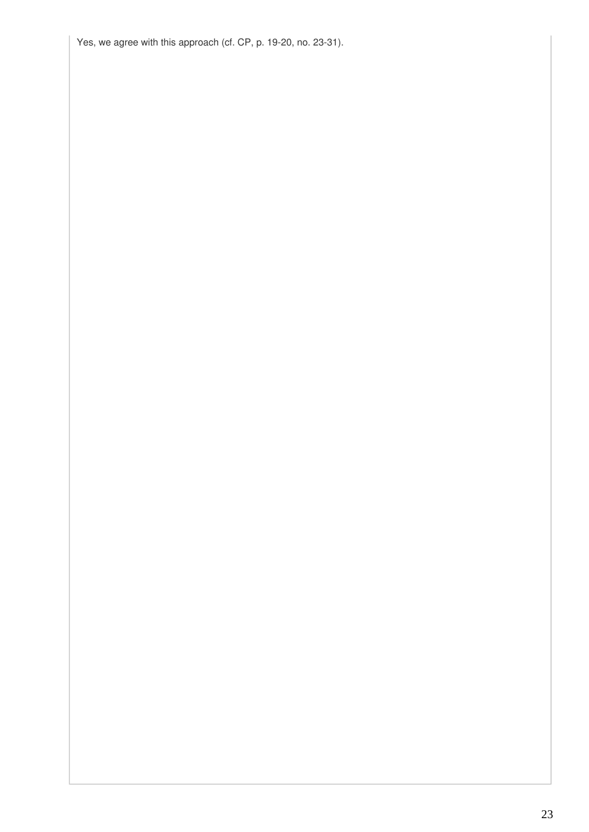Yes, we agree with this approach (cf. CP, p. 19-20, no. 23-31).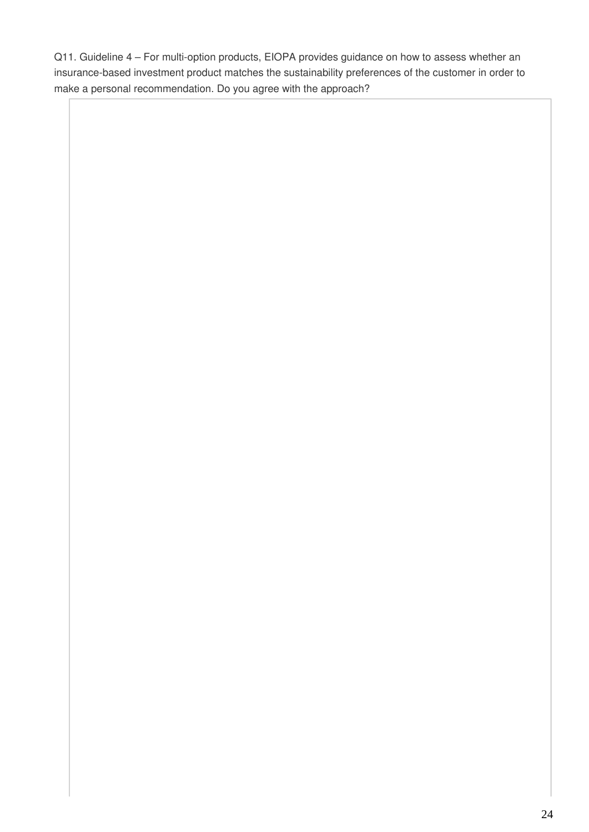Q11. Guideline 4 – For multi-option products, EIOPA provides guidance on how to assess whether an insurance-based investment product matches the sustainability preferences of the customer in order to make a personal recommendation. Do you agree with the approach?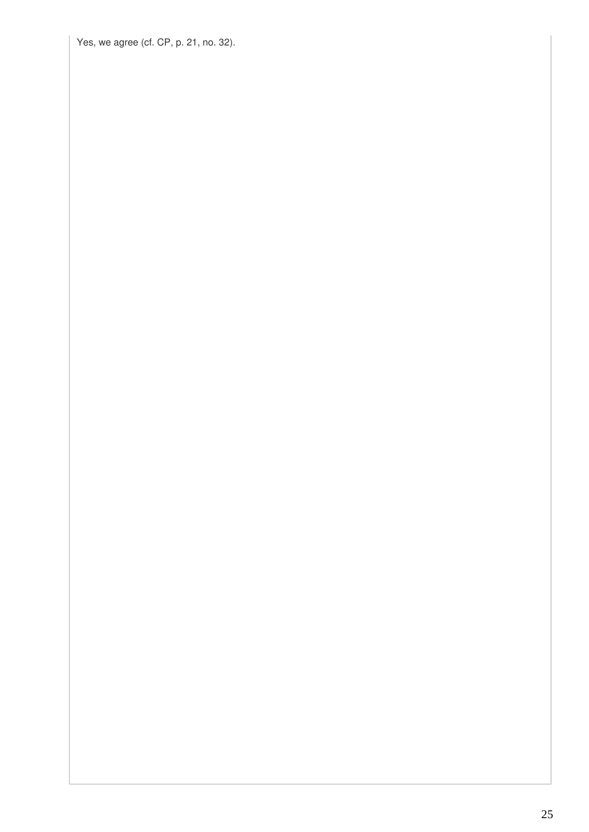Yes, we agree (cf. CP, p. 21, no. 32).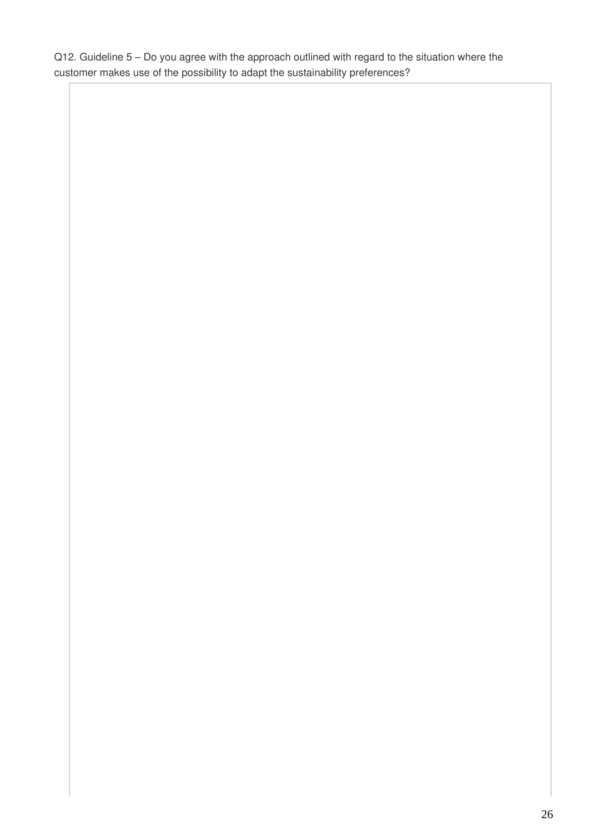Q12. Guideline 5 – Do you agree with the approach outlined with regard to the situation where the customer makes use of the possibility to adapt the sustainability preferences?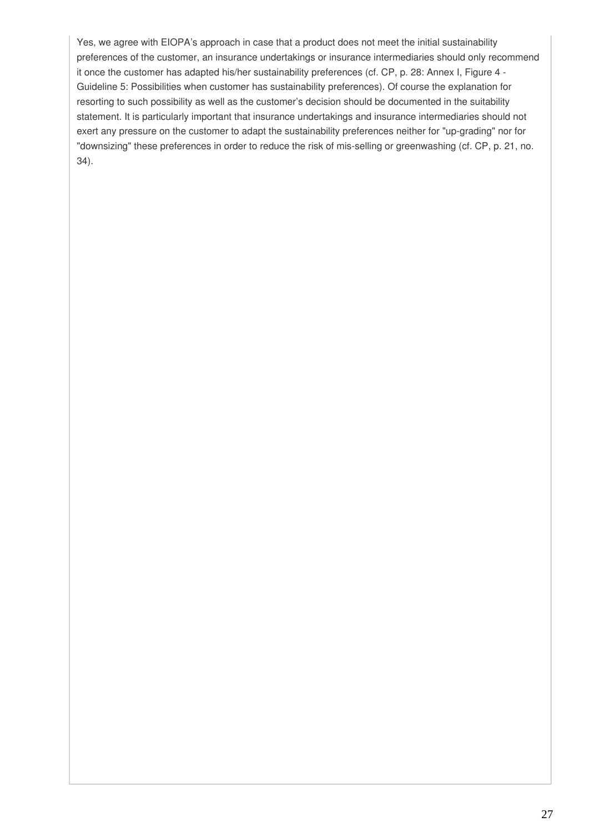Yes, we agree with EIOPA's approach in case that a product does not meet the initial sustainability preferences of the customer, an insurance undertakings or insurance intermediaries should only recommend it once the customer has adapted his/her sustainability preferences (cf. CP, p. 28: Annex I, Figure 4 - Guideline 5: Possibilities when customer has sustainability preferences). Of course the explanation for resorting to such possibility as well as the customer's decision should be documented in the suitability statement. It is particularly important that insurance undertakings and insurance intermediaries should not exert any pressure on the customer to adapt the sustainability preferences neither for "up-grading" nor for "downsizing" these preferences in order to reduce the risk of mis-selling or greenwashing (cf. CP, p. 21, no. 34).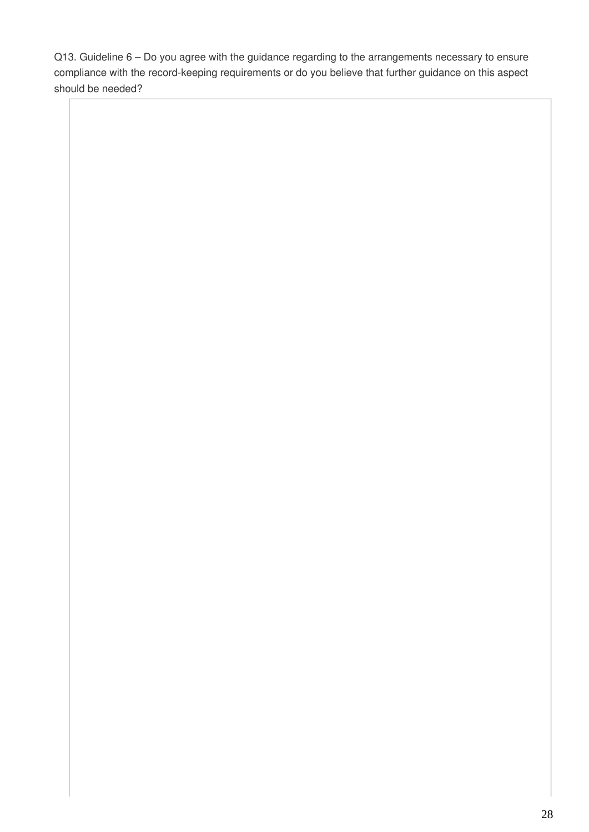Q13. Guideline 6 – Do you agree with the guidance regarding to the arrangements necessary to ensure compliance with the record-keeping requirements or do you believe that further guidance on this aspect should be needed?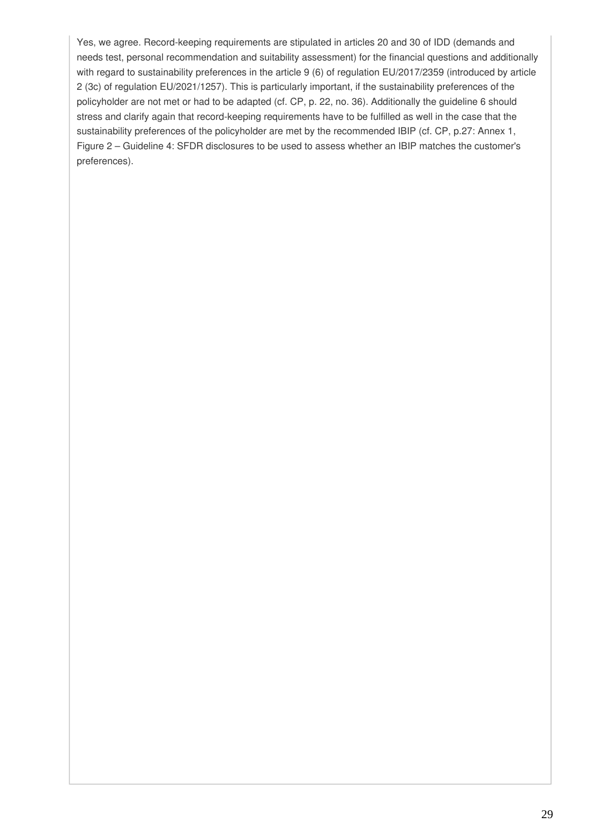Yes, we agree. Record-keeping requirements are stipulated in articles 20 and 30 of IDD (demands and needs test, personal recommendation and suitability assessment) for the financial questions and additionally with regard to sustainability preferences in the article 9 (6) of regulation EU/2017/2359 (introduced by article 2 (3c) of regulation EU/2021/1257). This is particularly important, if the sustainability preferences of the policyholder are not met or had to be adapted (cf. CP, p. 22, no. 36). Additionally the guideline 6 should stress and clarify again that record-keeping requirements have to be fulfilled as well in the case that the sustainability preferences of the policyholder are met by the recommended IBIP (cf. CP, p.27: Annex 1, Figure 2 – Guideline 4: SFDR disclosures to be used to assess whether an IBIP matches the customer's preferences).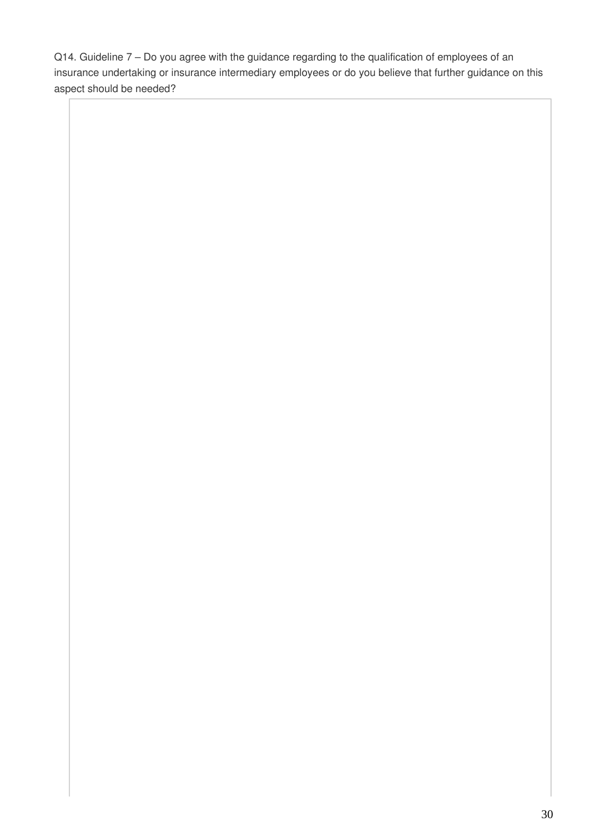Q14. Guideline 7 – Do you agree with the guidance regarding to the qualification of employees of an insurance undertaking or insurance intermediary employees or do you believe that further guidance on this aspect should be needed?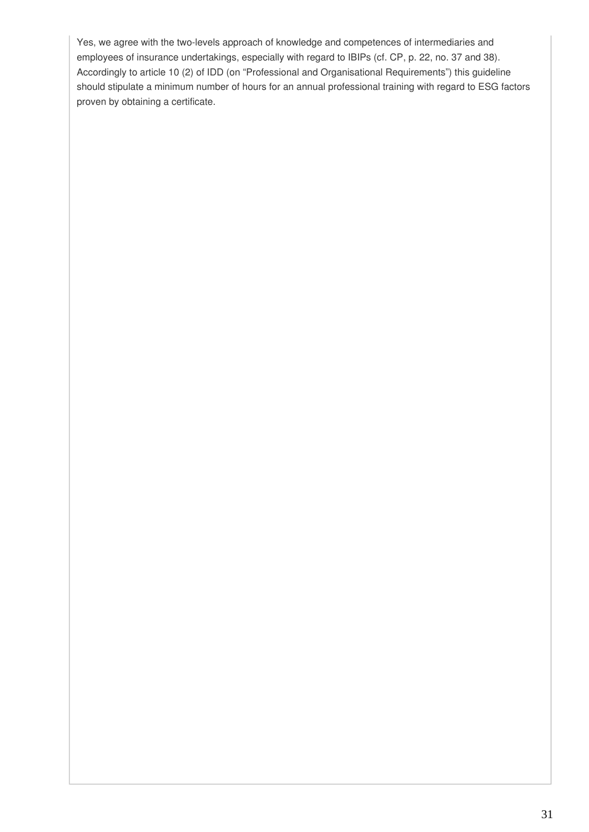Yes, we agree with the two-levels approach of knowledge and competences of intermediaries and employees of insurance undertakings, especially with regard to IBIPs (cf. CP, p. 22, no. 37 and 38). Accordingly to article 10 (2) of IDD (on "Professional and Organisational Requirements") this guideline should stipulate a minimum number of hours for an annual professional training with regard to ESG factors proven by obtaining a certificate.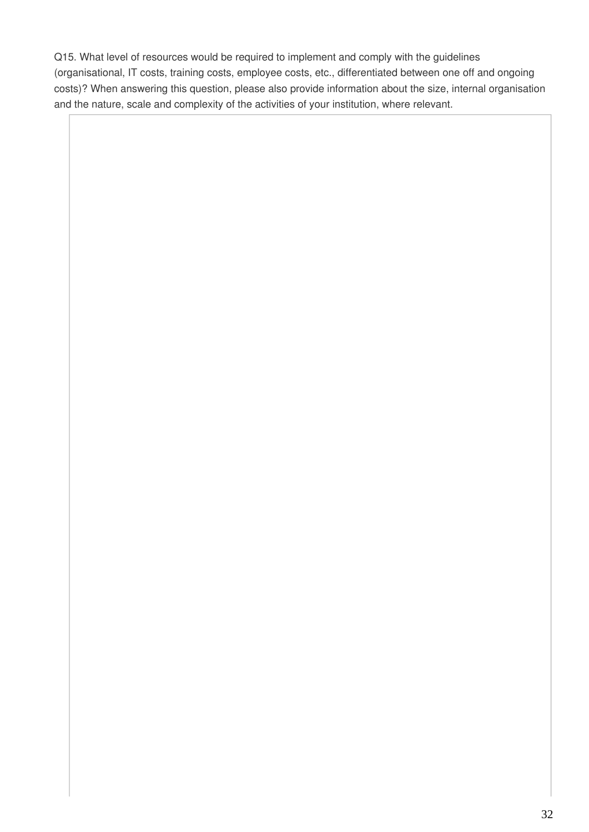Q15. What level of resources would be required to implement and comply with the guidelines (organisational, IT costs, training costs, employee costs, etc., differentiated between one off and ongoing costs)? When answering this question, please also provide information about the size, internal organisation and the nature, scale and complexity of the activities of your institution, where relevant.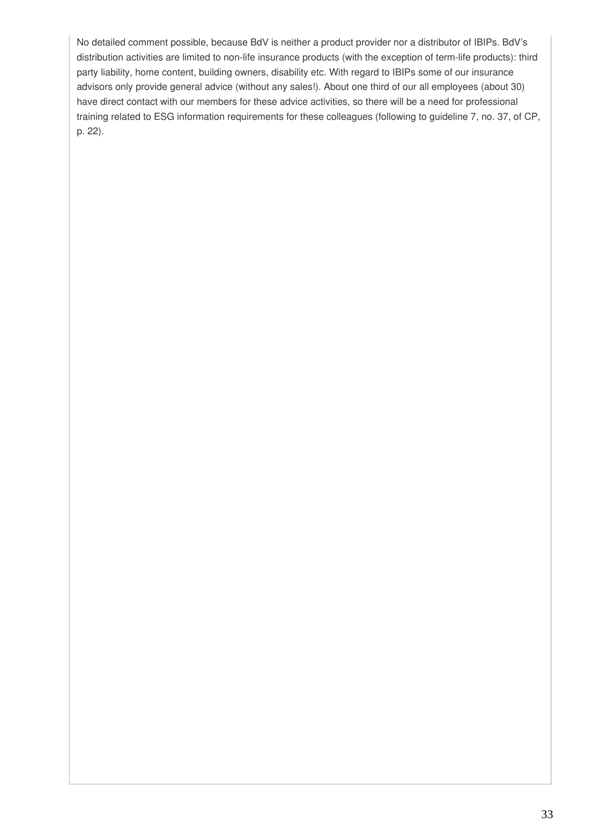No detailed comment possible, because BdV is neither a product provider nor a distributor of IBIPs. BdV's distribution activities are limited to non-life insurance products (with the exception of term-life products): third party liability, home content, building owners, disability etc. With regard to IBIPs some of our insurance advisors only provide general advice (without any sales!). About one third of our all employees (about 30) have direct contact with our members for these advice activities, so there will be a need for professional training related to ESG information requirements for these colleagues (following to guideline 7, no. 37, of CP, p. 22).